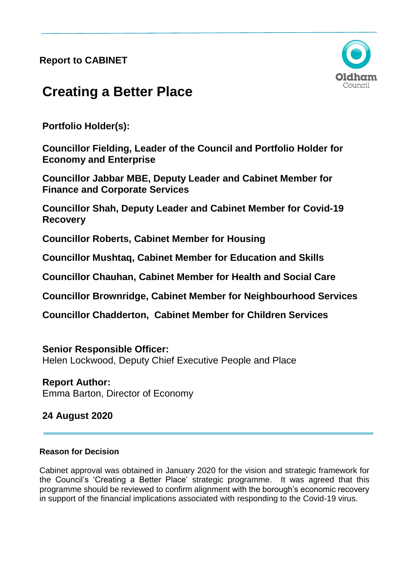**Report to CABINET** 



# **Creating a Better Place**

**Portfolio Holder(s):** 

**Councillor Fielding, Leader of the Council and Portfolio Holder for Economy and Enterprise**

**Councillor Jabbar MBE, Deputy Leader and Cabinet Member for Finance and Corporate Services**

**Councillor Shah, Deputy Leader and Cabinet Member for Covid-19 Recovery**

**Councillor Roberts, Cabinet Member for Housing** 

**Councillor Mushtaq, Cabinet Member for Education and Skills** 

**Councillor Chauhan, Cabinet Member for Health and Social Care**

**Councillor Brownridge, Cabinet Member for Neighbourhood Services**

**Councillor Chadderton, Cabinet Member for Children Services** 

# **Senior Responsible Officer:**

Helen Lockwood, Deputy Chief Executive People and Place

**Report Author:** Emma Barton, Director of Economy

# **24 August 2020**

# **Reason for Decision**

Cabinet approval was obtained in January 2020 for the vision and strategic framework for the Council's 'Creating a Better Place' strategic programme. It was agreed that this programme should be reviewed to confirm alignment with the borough's economic recovery in support of the financial implications associated with responding to the Covid-19 virus.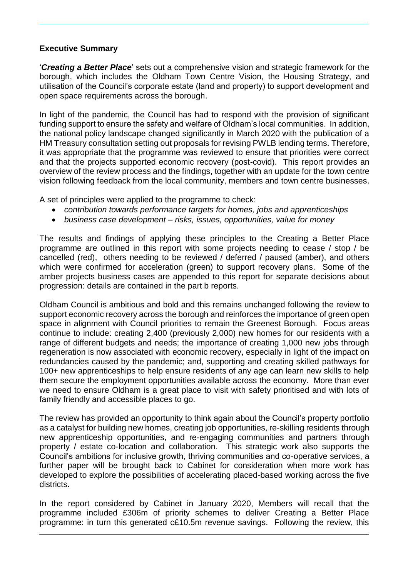# **Executive Summary**

'*Creating a Better Place*' sets out a comprehensive vision and strategic framework for the borough, which includes the Oldham Town Centre Vision, the Housing Strategy, and utilisation of the Council's corporate estate (land and property) to support development and open space requirements across the borough.

In light of the pandemic, the Council has had to respond with the provision of significant funding support to ensure the safety and welfare of Oldham's local communities. In addition, the national policy landscape changed significantly in March 2020 with the publication of a HM Treasury consultation setting out proposals for revising PWLB lending terms. Therefore, it was appropriate that the programme was reviewed to ensure that priorities were correct and that the projects supported economic recovery (post-covid). This report provides an overview of the review process and the findings, together with an update for the town centre vision following feedback from the local community, members and town centre businesses.

A set of principles were applied to the programme to check:

- *contribution towards performance targets for homes, jobs and apprenticeships*
- *business case development – risks, issues, opportunities, value for money*

The results and findings of applying these principles to the Creating a Better Place programme are outlined in this report with some projects needing to cease / stop / be cancelled (red), others needing to be reviewed / deferred / paused (amber), and others which were confirmed for acceleration (green) to support recovery plans. Some of the amber projects business cases are appended to this report for separate decisions about progression: details are contained in the part b reports.

Oldham Council is ambitious and bold and this remains unchanged following the review to support economic recovery across the borough and reinforces the importance of green open space in alignment with Council priorities to remain the Greenest Borough. Focus areas continue to include: creating 2,400 (previously 2,000) new homes for our residents with a range of different budgets and needs; the importance of creating 1,000 new jobs through regeneration is now associated with economic recovery, especially in light of the impact on redundancies caused by the pandemic; and, supporting and creating skilled pathways for 100+ new apprenticeships to help ensure residents of any age can learn new skills to help them secure the employment opportunities available across the economy. More than ever we need to ensure Oldham is a great place to visit with safety prioritised and with lots of family friendly and accessible places to go.

The review has provided an opportunity to think again about the Council's property portfolio as a catalyst for building new homes, creating job opportunities, re-skilling residents through new apprenticeship opportunities, and re-engaging communities and partners through property / estate co-location and collaboration. This strategic work also supports the Council's ambitions for inclusive growth, thriving communities and co-operative services, a further paper will be brought back to Cabinet for consideration when more work has developed to explore the possibilities of accelerating placed-based working across the five districts.

In the report considered by Cabinet in January 2020, Members will recall that the programme included £306m of priority schemes to deliver Creating a Better Place programme: in turn this generated c£10.5m revenue savings. Following the review, this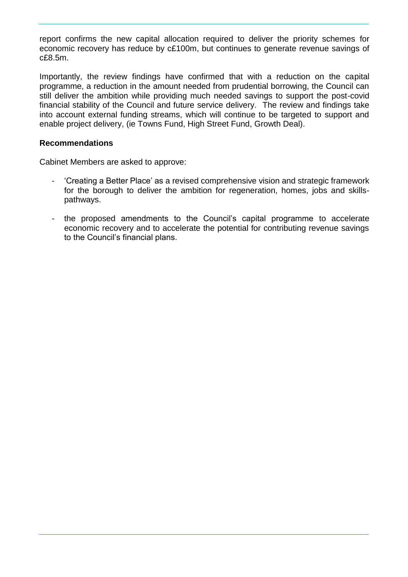report confirms the new capital allocation required to deliver the priority schemes for economic recovery has reduce by c£100m, but continues to generate revenue savings of c£8.5m.

Importantly, the review findings have confirmed that with a reduction on the capital programme, a reduction in the amount needed from prudential borrowing, the Council can still deliver the ambition while providing much needed savings to support the post-covid financial stability of the Council and future service delivery. The review and findings take into account external funding streams, which will continue to be targeted to support and enable project delivery, (ie Towns Fund, High Street Fund, Growth Deal).

# **Recommendations**

Cabinet Members are asked to approve:

- 'Creating a Better Place' as a revised comprehensive vision and strategic framework for the borough to deliver the ambition for regeneration, homes, jobs and skillspathways.
- the proposed amendments to the Council's capital programme to accelerate economic recovery and to accelerate the potential for contributing revenue savings to the Council's financial plans.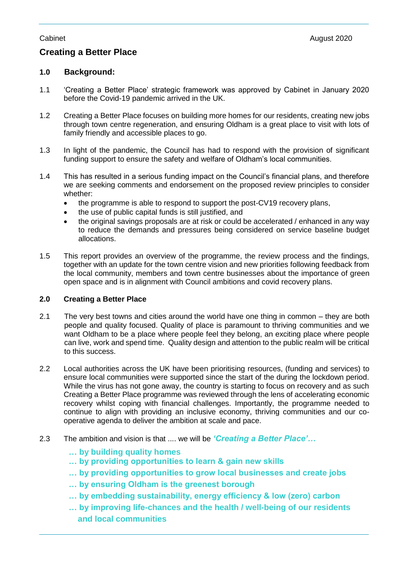# **Creating a Better Place**

# **1.0 Background:**

- 1.1 'Creating a Better Place' strategic framework was approved by Cabinet in January 2020 before the Covid-19 pandemic arrived in the UK.
- 1.2 Creating a Better Place focuses on building more homes for our residents, creating new jobs through town centre regeneration, and ensuring Oldham is a great place to visit with lots of family friendly and accessible places to go.
- 1.3 In light of the pandemic, the Council has had to respond with the provision of significant funding support to ensure the safety and welfare of Oldham's local communities.
- 1.4 This has resulted in a serious funding impact on the Council's financial plans, and therefore we are seeking comments and endorsement on the proposed review principles to consider whether:
	- the programme is able to respond to support the post-CV19 recovery plans,
	- the use of public capital funds is still justified, and
	- the original savings proposals are at risk or could be accelerated / enhanced in any way to reduce the demands and pressures being considered on service baseline budget allocations.
- 1.5 This report provides an overview of the programme, the review process and the findings, together with an update for the town centre vision and new priorities following feedback from the local community, members and town centre businesses about the importance of green open space and is in alignment with Council ambitions and covid recovery plans.

#### **2.0 Creating a Better Place**

- 2.1 The very best towns and cities around the world have one thing in common they are both people and quality focused. Quality of place is paramount to thriving communities and we want Oldham to be a place where people feel they belong, an exciting place where people can live, work and spend time. Quality design and attention to the public realm will be critical to this success.
- 2.2 Local authorities across the UK have been prioritising resources, (funding and services) to ensure local communities were supported since the start of the during the lockdown period. While the virus has not gone away, the country is starting to focus on recovery and as such Creating a Better Place programme was reviewed through the lens of accelerating economic recovery whilst coping with financial challenges. Importantly, the programme needed to continue to align with providing an inclusive economy, thriving communities and our cooperative agenda to deliver the ambition at scale and pace.
- 2.3 The ambition and vision is that .... we will be *'Creating a Better Place'…*
	- **… by building quality homes**
	- **… by providing opportunities to learn & gain new skills**
	- **… by providing opportunities to grow local businesses and create jobs**
	- **… by ensuring Oldham is the greenest borough**
	- **… by embedding sustainability, energy efficiency & low (zero) carbon**
	- **… by improving life-chances and the health / well-being of our residents and local communities**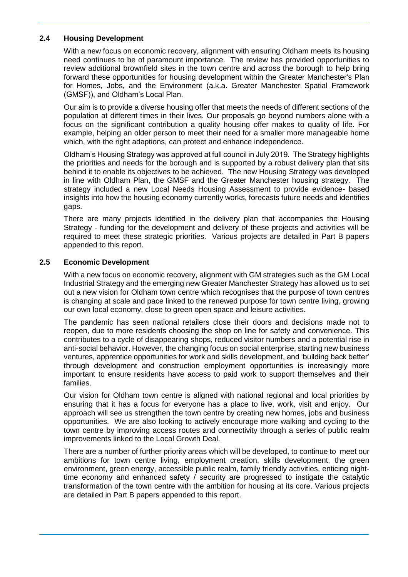#### **2.4 Housing Development**

With a new focus on economic recovery, alignment with ensuring Oldham meets its housing need continues to be of paramount importance. The review has provided opportunities to review additional brownfield sites in the town centre and across the borough to help bring forward these opportunities for housing development within the Greater Manchester's Plan for Homes, Jobs, and the Environment (a.k.a. Greater Manchester Spatial Framework (GMSF)), and Oldham's Local Plan.

Our aim is to provide a diverse housing offer that meets the needs of different sections of the population at different times in their lives. Our proposals go beyond numbers alone with a focus on the significant contribution a quality housing offer makes to quality of life. For example, helping an older person to meet their need for a smaller more manageable home which, with the right adaptions, can protect and enhance independence.

Oldham's Housing Strategy was approved at full council in July 2019. The Strategy highlights the priorities and needs for the borough and is supported by a robust delivery plan that sits behind it to enable its objectives to be achieved. The new Housing Strategy was developed in line with Oldham Plan, the GMSF and the Greater Manchester housing strategy. The strategy included a new Local Needs Housing Assessment to provide evidence- based insights into how the housing economy currently works, forecasts future needs and identifies gaps.

There are many projects identified in the delivery plan that accompanies the Housing Strategy - funding for the development and delivery of these projects and activities will be required to meet these strategic priorities. Various projects are detailed in Part B papers appended to this report.

#### **2.5 Economic Development**

With a new focus on economic recovery, alignment with GM strategies such as the GM Local Industrial Strategy and the emerging new Greater Manchester Strategy has allowed us to set out a new vision for Oldham town centre which recognises that the purpose of town centres is changing at scale and pace linked to the renewed purpose for town centre living, growing our own local economy, close to green open space and leisure activities.

The pandemic has seen national retailers close their doors and decisions made not to reopen, due to more residents choosing the shop on line for safety and convenience. This contributes to a cycle of disappearing shops, reduced visitor numbers and a potential rise in anti-social behavior. However, the changing focus on social enterprise, starting new business ventures, apprentice opportunities for work and skills development, and 'building back better' through development and construction employment opportunities is increasingly more important to ensure residents have access to paid work to support themselves and their families.

Our vision for Oldham town centre is aligned with national regional and local priorities by ensuring that it has a focus for everyone has a place to live, work, visit and enjoy. Our approach will see us strengthen the town centre by creating new homes, jobs and business opportunities. We are also looking to actively encourage more walking and cycling to the town centre by improving access routes and connectivity through a series of public realm improvements linked to the Local Growth Deal.

There are a number of further priority areas which will be developed, to continue to meet our ambitions for town centre living, employment creation, skills development, the green environment, green energy, accessible public realm, family friendly activities, enticing nighttime economy and enhanced safety / security are progressed to instigate the catalytic transformation of the town centre with the ambition for housing at its core. Various projects are detailed in Part B papers appended to this report.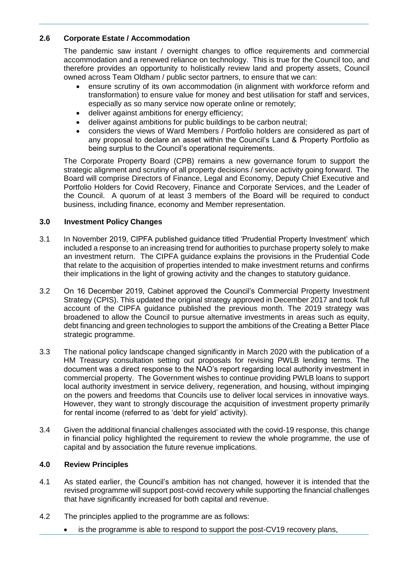# **2.6 Corporate Estate / Accommodation**

The pandemic saw instant / overnight changes to office requirements and commercial accommodation and a renewed reliance on technology. This is true for the Council too, and therefore provides an opportunity to holistically review land and property assets, Council owned across Team Oldham / public sector partners, to ensure that we can:

- ensure scrutiny of its own accommodation (in alignment with workforce reform and transformation) to ensure value for money and best utilisation for staff and services, especially as so many service now operate online or remotely;
- deliver against ambitions for energy efficiency;
- deliver against ambitions for public buildings to be carbon neutral;
- considers the views of Ward Members / Portfolio holders are considered as part of any proposal to declare an asset within the Council's Land & Property Portfolio as being surplus to the Council's operational requirements.

The Corporate Property Board (CPB) remains a new governance forum to support the strategic alignment and scrutiny of all property decisions / service activity going forward. The Board will comprise Directors of Finance, Legal and Economy, Deputy Chief Executive and Portfolio Holders for Covid Recovery, Finance and Corporate Services, and the Leader of the Council. A quorum of at least 3 members of the Board will be required to conduct business, including finance, economy and Member representation.

# **3.0 Investment Policy Changes**

- 3.1 In November 2019, CIPFA published guidance titled 'Prudential Property Investment' which included a response to an increasing trend for authorities to purchase property solely to make an investment return. The CIPFA guidance explains the provisions in the Prudential Code that relate to the acquisition of properties intended to make investment returns and confirms their implications in the light of growing activity and the changes to statutory guidance.
- 3.2 On 16 December 2019, Cabinet approved the Council's Commercial Property Investment Strategy (CPIS). This updated the original strategy approved in December 2017 and took full account of the CIPFA guidance published the previous month. The 2019 strategy was broadened to allow the Council to pursue alternative investments in areas such as equity, debt financing and green technologies to support the ambitions of the Creating a Better Place strategic programme.
- 3.3 The national policy landscape changed significantly in March 2020 with the publication of a HM Treasury consultation setting out proposals for revising PWLB lending terms. The document was a direct response to the NAO's report regarding local authority investment in commercial property. The Government wishes to continue providing PWLB loans to support local authority investment in service delivery, regeneration, and housing, without impinging on the powers and freedoms that Councils use to deliver local services in innovative ways. However, they want to strongly discourage the acquisition of investment property primarily for rental income (referred to as 'debt for yield' activity).
- 3.4 Given the additional financial challenges associated with the covid-19 response, this change in financial policy highlighted the requirement to review the whole programme, the use of capital and by association the future revenue implications.

#### **4.0 Review Principles**

- 4.1 As stated earlier, the Council's ambition has not changed, however it is intended that the revised programme will support post-covid recovery while supporting the financial challenges that have significantly increased for both capital and revenue.
- 4.2 The principles applied to the programme are as follows:
	- is the programme is able to respond to support the post-CV19 recovery plans,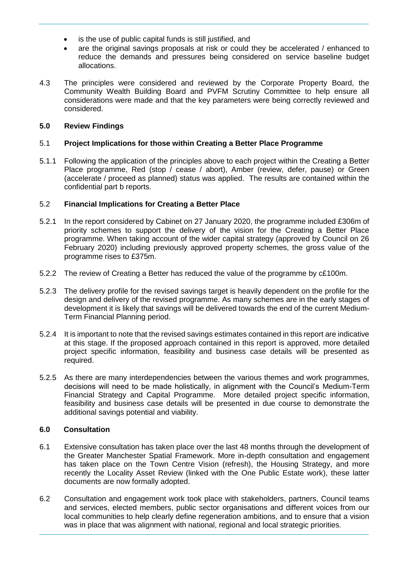- is the use of public capital funds is still justified, and
- are the original savings proposals at risk or could they be accelerated / enhanced to reduce the demands and pressures being considered on service baseline budget allocations.
- 4.3 The principles were considered and reviewed by the Corporate Property Board, the Community Wealth Building Board and PVFM Scrutiny Committee to help ensure all considerations were made and that the key parameters were being correctly reviewed and considered.

# **5.0 Review Findings**

### 5.1 **Project Implications for those within Creating a Better Place Programme**

5.1.1 Following the application of the principles above to each project within the Creating a Better Place programme, Red (stop / cease / abort), Amber (review, defer, pause) or Green (accelerate / proceed as planned) status was applied. The results are contained within the confidential part b reports.

# 5.2 **Financial Implications for Creating a Better Place**

- 5.2.1 In the report considered by Cabinet on 27 January 2020, the programme included £306m of priority schemes to support the delivery of the vision for the Creating a Better Place programme. When taking account of the wider capital strategy (approved by Council on 26 February 2020) including previously approved property schemes, the gross value of the programme rises to £375m.
- 5.2.2 The review of Creating a Better has reduced the value of the programme by c£100m.
- 5.2.3 The delivery profile for the revised savings target is heavily dependent on the profile for the design and delivery of the revised programme. As many schemes are in the early stages of development it is likely that savings will be delivered towards the end of the current Medium-Term Financial Planning period.
- 5.2.4 It is important to note that the revised savings estimates contained in this report are indicative at this stage. If the proposed approach contained in this report is approved, more detailed project specific information, feasibility and business case details will be presented as required.
- 5.2.5 As there are many interdependencies between the various themes and work programmes, decisions will need to be made holistically, in alignment with the Council's Medium-Term Financial Strategy and Capital Programme. More detailed project specific information, feasibility and business case details will be presented in due course to demonstrate the additional savings potential and viability.

#### **6.0 Consultation**

- 6.1 Extensive consultation has taken place over the last 48 months through the development of the Greater Manchester Spatial Framework. More in-depth consultation and engagement has taken place on the Town Centre Vision (refresh), the Housing Strategy, and more recently the Locality Asset Review (linked with the One Public Estate work), these latter documents are now formally adopted.
- 6.2 Consultation and engagement work took place with stakeholders, partners, Council teams and services, elected members, public sector organisations and different voices from our local communities to help clearly define regeneration ambitions, and to ensure that a vision was in place that was alignment with national, regional and local strategic priorities.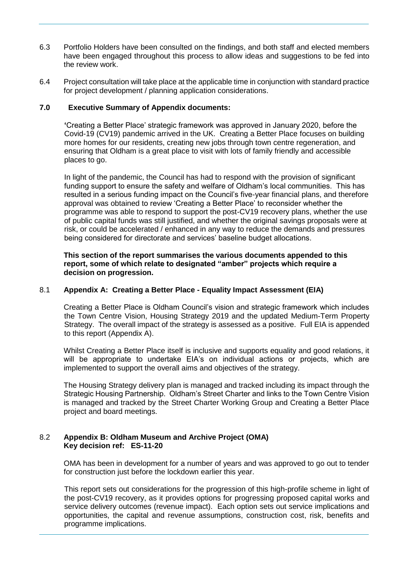- 6.3 Portfolio Holders have been consulted on the findings, and both staff and elected members have been engaged throughout this process to allow ideas and suggestions to be fed into the review work.
- 6.4 Project consultation will take place at the applicable time in conjunction with standard practice for project development / planning application considerations.

#### **7.0 Executive Summary of Appendix documents:**

**'**Creating a Better Place' strategic framework was approved in January 2020, before the Covid-19 (CV19) pandemic arrived in the UK. Creating a Better Place focuses on building more homes for our residents, creating new jobs through town centre regeneration, and ensuring that Oldham is a great place to visit with lots of family friendly and accessible places to go.

In light of the pandemic, the Council has had to respond with the provision of significant funding support to ensure the safety and welfare of Oldham's local communities. This has resulted in a serious funding impact on the Council's five-year financial plans, and therefore approval was obtained to review 'Creating a Better Place' to reconsider whether the programme was able to respond to support the post-CV19 recovery plans, whether the use of public capital funds was still justified, and whether the original savings proposals were at risk, or could be accelerated / enhanced in any way to reduce the demands and pressures being considered for directorate and services' baseline budget allocations.

**This section of the report summarises the various documents appended to this report, some of which relate to designated "amber" projects which require a decision on progression.** 

#### 8.1 **Appendix A: Creating a Better Place - Equality Impact Assessment (EIA)**

Creating a Better Place is Oldham Council's vision and strategic framework which includes the Town Centre Vision, Housing Strategy 2019 and the updated Medium-Term Property Strategy. The overall impact of the strategy is assessed as a positive. Full EIA is appended to this report (Appendix A).

Whilst Creating a Better Place itself is inclusive and supports equality and good relations, it will be appropriate to undertake EIA's on individual actions or projects, which are implemented to support the overall aims and objectives of the strategy.

The Housing Strategy delivery plan is managed and tracked including its impact through the Strategic Housing Partnership. Oldham's Street Charter and links to the Town Centre Vision is managed and tracked by the Street Charter Working Group and Creating a Better Place project and board meetings.

#### 8.2 **Appendix B: Oldham Museum and Archive Project (OMA) Key decision ref: ES-11-20**

OMA has been in development for a number of years and was approved to go out to tender for construction just before the lockdown earlier this year.

This report sets out considerations for the progression of this high-profile scheme in light of the post-CV19 recovery, as it provides options for progressing proposed capital works and service delivery outcomes (revenue impact). Each option sets out service implications and opportunities, the capital and revenue assumptions, construction cost, risk, benefits and programme implications.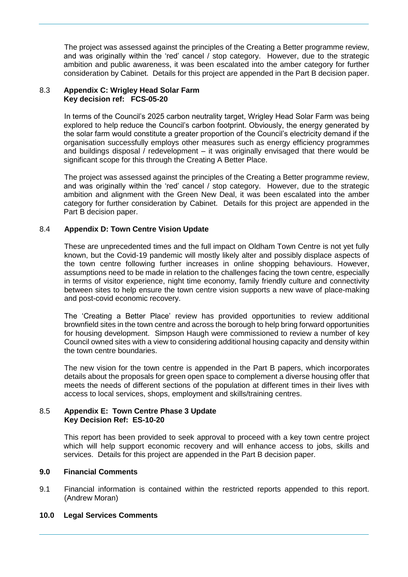The project was assessed against the principles of the Creating a Better programme review, and was originally within the 'red' cancel / stop category. However, due to the strategic ambition and public awareness, it was been escalated into the amber category for further consideration by Cabinet. Details for this project are appended in the Part B decision paper.

#### 8.3 **Appendix C: Wrigley Head Solar Farm Key decision ref: FCS-05-20**

In terms of the Council's 2025 carbon neutrality target, Wrigley Head Solar Farm was being explored to help reduce the Council's carbon footprint. Obviously, the energy generated by the solar farm would constitute a greater proportion of the Council's electricity demand if the organisation successfully employs other measures such as energy efficiency programmes and buildings disposal / redevelopment – it was originally envisaged that there would be significant scope for this through the Creating A Better Place.

The project was assessed against the principles of the Creating a Better programme review, and was originally within the 'red' cancel / stop category. However, due to the strategic ambition and alignment with the Green New Deal, it was been escalated into the amber category for further consideration by Cabinet. Details for this project are appended in the Part B decision paper.

# 8.4 **Appendix D: Town Centre Vision Update**

These are unprecedented times and the full impact on Oldham Town Centre is not yet fully known, but the Covid-19 pandemic will mostly likely alter and possibly displace aspects of the town centre following further increases in online shopping behaviours. However, assumptions need to be made in relation to the challenges facing the town centre, especially in terms of visitor experience, night time economy, family friendly culture and connectivity between sites to help ensure the town centre vision supports a new wave of place-making and post-covid economic recovery.

The 'Creating a Better Place' review has provided opportunities to review additional brownfield sites in the town centre and across the borough to help bring forward opportunities for housing development. Simpson Haugh were commissioned to review a number of key Council owned sites with a view to considering additional housing capacity and density within the town centre boundaries.

The new vision for the town centre is appended in the Part B papers, which incorporates details about the proposals for green open space to complement a diverse housing offer that meets the needs of different sections of the population at different times in their lives with access to local services, shops, employment and skills/training centres.

#### 8.5 **Appendix E: Town Centre Phase 3 Update Key Decision Ref: ES-10-20**

This report has been provided to seek approval to proceed with a key town centre project which will help support economic recovery and will enhance access to jobs, skills and services. Details for this project are appended in the Part B decision paper.

#### **9.0 Financial Comments**

9.1 Financial information is contained within the restricted reports appended to this report. (Andrew Moran)

#### **10.0 Legal Services Comments**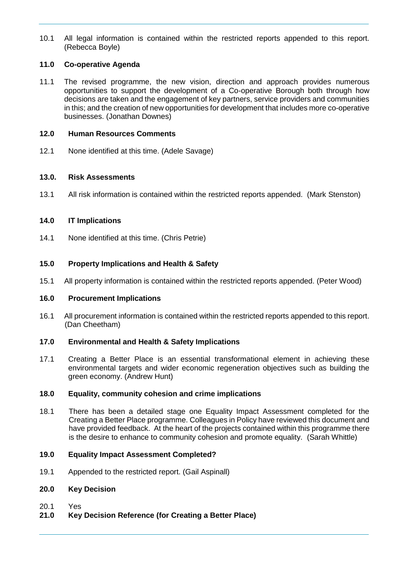10.1 All legal information is contained within the restricted reports appended to this report. (Rebecca Boyle)

# **11.0 Co-operative Agenda**

11.1 The revised programme, the new vision, direction and approach provides numerous opportunities to support the development of a Co-operative Borough both through how decisions are taken and the engagement of key partners, service providers and communities in this; and the creation of new opportunities for development that includes more co-operative businesses. (Jonathan Downes)

#### **12.0 Human Resources Comments**

12.1 None identified at this time. (Adele Savage)

#### **13.0. Risk Assessments**

13.1 All risk information is contained within the restricted reports appended. (Mark Stenston)

#### **14.0 IT Implications**

14.1 None identified at this time. (Chris Petrie)

#### **15.0 Property Implications and Health & Safety**

15.1 All property information is contained within the restricted reports appended. (Peter Wood)

#### **16.0 Procurement Implications**

16.1 All procurement information is contained within the restricted reports appended to this report. (Dan Cheetham)

#### **17.0 Environmental and Health & Safety Implications**

17.1 Creating a Better Place is an essential transformational element in achieving these environmental targets and wider economic regeneration objectives such as building the green economy. (Andrew Hunt)

#### **18.0 Equality, community cohesion and crime implications**

18.1 There has been a detailed stage one Equality Impact Assessment completed for the Creating a Better Place programme. Colleagues in Policy have reviewed this document and have provided feedback. At the heart of the projects contained within this programme there is the desire to enhance to community cohesion and promote equality. (Sarah Whittle)

### **19.0 Equality Impact Assessment Completed?**

19.1 Appended to the restricted report. (Gail Aspinall)

#### **20.0 Key Decision**

- 20.1 Yes
- **21.0 Key Decision Reference (for Creating a Better Place)**